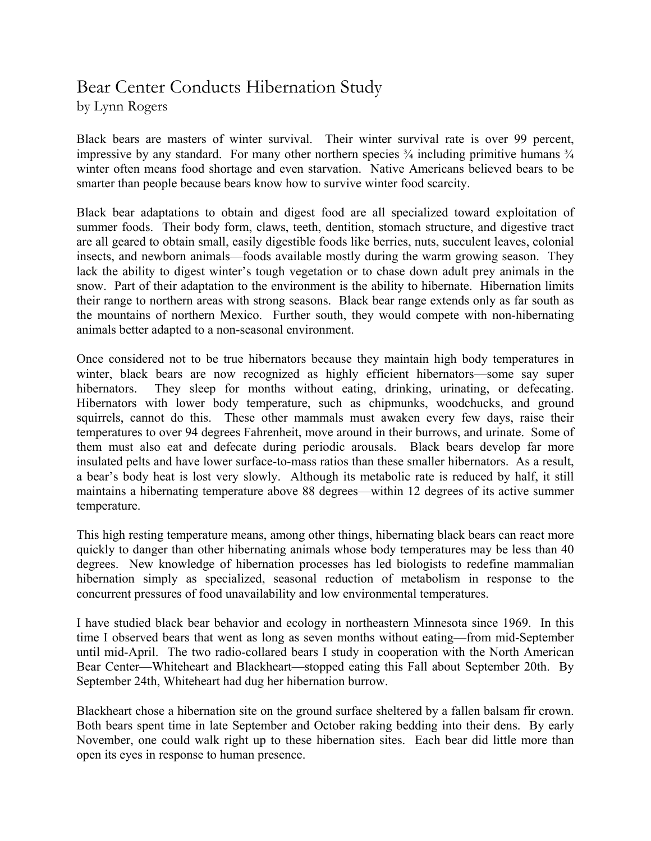## Bear Center Conducts Hibernation Study

by Lynn Rogers

Black bears are masters of winter survival. Their winter survival rate is over 99 percent, impressive by any standard. For many other northern species  $\frac{3}{4}$  including primitive humans  $\frac{3}{4}$ winter often means food shortage and even starvation. Native Americans believed bears to be smarter than people because bears know how to survive winter food scarcity.

Black bear adaptations to obtain and digest food are all specialized toward exploitation of summer foods. Their body form, claws, teeth, dentition, stomach structure, and digestive tract are all geared to obtain small, easily digestible foods like berries, nuts, succulent leaves, colonial insects, and newborn animals—foods available mostly during the warm growing season. They lack the ability to digest winter's tough vegetation or to chase down adult prey animals in the snow. Part of their adaptation to the environment is the ability to hibernate. Hibernation limits their range to northern areas with strong seasons. Black bear range extends only as far south as the mountains of northern Mexico. Further south, they would compete with non-hibernating animals better adapted to a non-seasonal environment.

Once considered not to be true hibernators because they maintain high body temperatures in winter, black bears are now recognized as highly efficient hibernators—some say super hibernators. They sleep for months without eating, drinking, urinating, or defecating. Hibernators with lower body temperature, such as chipmunks, woodchucks, and ground squirrels, cannot do this. These other mammals must awaken every few days, raise their temperatures to over 94 degrees Fahrenheit, move around in their burrows, and urinate. Some of them must also eat and defecate during periodic arousals. Black bears develop far more insulated pelts and have lower surface-to-mass ratios than these smaller hibernators. As a result, a bear's body heat is lost very slowly. Although its metabolic rate is reduced by half, it still maintains a hibernating temperature above 88 degrees—within 12 degrees of its active summer temperature.

This high resting temperature means, among other things, hibernating black bears can react more quickly to danger than other hibernating animals whose body temperatures may be less than 40 degrees. New knowledge of hibernation processes has led biologists to redefine mammalian hibernation simply as specialized, seasonal reduction of metabolism in response to the concurrent pressures of food unavailability and low environmental temperatures.

I have studied black bear behavior and ecology in northeastern Minnesota since 1969. In this time I observed bears that went as long as seven months without eating—from mid-September until mid-April. The two radio-collared bears I study in cooperation with the North American Bear Center—Whiteheart and Blackheart—stopped eating this Fall about September 20th. By September 24th, Whiteheart had dug her hibernation burrow.

Blackheart chose a hibernation site on the ground surface sheltered by a fallen balsam fir crown. Both bears spent time in late September and October raking bedding into their dens. By early November, one could walk right up to these hibernation sites. Each bear did little more than open its eyes in response to human presence.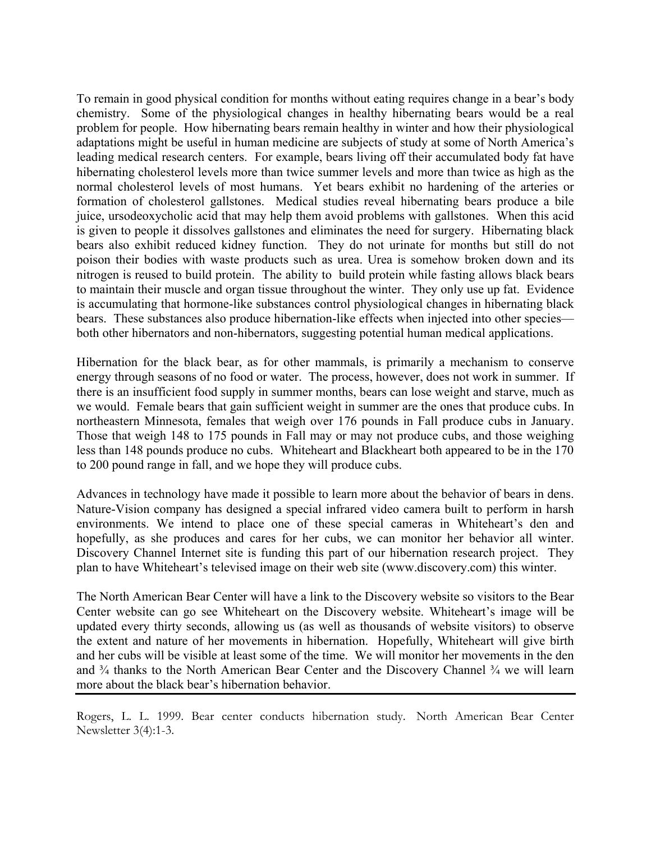To remain in good physical condition for months without eating requires change in a bear's body chemistry. Some of the physiological changes in healthy hibernating bears would be a real problem for people. How hibernating bears remain healthy in winter and how their physiological adaptations might be useful in human medicine are subjects of study at some of North America's leading medical research centers. For example, bears living off their accumulated body fat have hibernating cholesterol levels more than twice summer levels and more than twice as high as the normal cholesterol levels of most humans. Yet bears exhibit no hardening of the arteries or formation of cholesterol gallstones. Medical studies reveal hibernating bears produce a bile juice, ursodeoxycholic acid that may help them avoid problems with gallstones. When this acid is given to people it dissolves gallstones and eliminates the need for surgery. Hibernating black bears also exhibit reduced kidney function. They do not urinate for months but still do not poison their bodies with waste products such as urea. Urea is somehow broken down and its nitrogen is reused to build protein. The ability to build protein while fasting allows black bears to maintain their muscle and organ tissue throughout the winter. They only use up fat. Evidence is accumulating that hormone-like substances control physiological changes in hibernating black bears. These substances also produce hibernation-like effects when injected into other species both other hibernators and non-hibernators, suggesting potential human medical applications.

Hibernation for the black bear, as for other mammals, is primarily a mechanism to conserve energy through seasons of no food or water. The process, however, does not work in summer. If there is an insufficient food supply in summer months, bears can lose weight and starve, much as we would. Female bears that gain sufficient weight in summer are the ones that produce cubs. In northeastern Minnesota, females that weigh over 176 pounds in Fall produce cubs in January. Those that weigh 148 to 175 pounds in Fall may or may not produce cubs, and those weighing less than 148 pounds produce no cubs. Whiteheart and Blackheart both appeared to be in the 170 to 200 pound range in fall, and we hope they will produce cubs.

Advances in technology have made it possible to learn more about the behavior of bears in dens. Nature-Vision company has designed a special infrared video camera built to perform in harsh environments. We intend to place one of these special cameras in Whiteheart's den and hopefully, as she produces and cares for her cubs, we can monitor her behavior all winter. Discovery Channel Internet site is funding this part of our hibernation research project. They plan to have Whiteheart's televised image on their web site (www.discovery.com) this winter.

The North American Bear Center will have a link to the Discovery website so visitors to the Bear Center website can go see Whiteheart on the Discovery website. Whiteheart's image will be updated every thirty seconds, allowing us (as well as thousands of website visitors) to observe the extent and nature of her movements in hibernation. Hopefully, Whiteheart will give birth and her cubs will be visible at least some of the time. We will monitor her movements in the den and  $\frac{3}{4}$  thanks to the North American Bear Center and the Discovery Channel  $\frac{3}{4}$  we will learn more about the black bear's hibernation behavior.

Rogers, L. L. 1999. Bear center conducts hibernation study. North American Bear Center Newsletter 3(4):1-3.